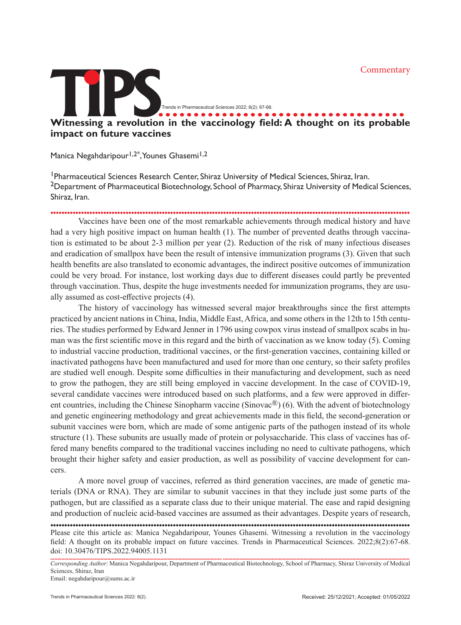

Manica Negahdaripour<sup>1,2\*</sup>, Younes Ghasemi<sup>1,2</sup>

<sup>1</sup> Pharmaceutical Sciences Research Center, Shiraz University of Medical Sciences, Shiraz, Iran. <sup>2</sup>Department of Pharmaceutical Biotechnology, School of Pharmacy, Shiraz University of Medical Sciences, Shiraz, Iran.

.................................................................................................................................

Vaccines have been one of the most remarkable achievements through medical history and have had a very high positive impact on human health (1). The number of prevented deaths through vaccination is estimated to be about 2-3 million per year (2). Reduction of the risk of many infectious diseases and eradication of smallpox have been the result of intensive immunization programs (3). Given that such health benefits are also translated to economic advantages, the indirect positive outcomes of immunization could be very broad. For instance, lost working days due to different diseases could partly be prevented through vaccination. Thus, despite the huge investments needed for immunization programs, they are usually assumed as cost-effective projects (4).

The history of vaccinology has witnessed several major breakthroughs since the first attempts practiced by ancient nations in China, India, Middle East, Africa, and some others in the 12th to 15th centuries. The studies performed by Edward Jenner in 1796 using cowpox virus instead of smallpox scabs in human was the first scientific move in this regard and the birth of vaccination as we know today (5). Coming to industrial vaccine production, traditional vaccines, or the first-generation vaccines, containing killed or inactivated pathogens have been manufactured and used for more than one century, so their safety profiles are studied well enough. Despite some difficulties in their manufacturing and development, such as need to grow the pathogen, they are still being employed in vaccine development. In the case of COVID-19, several candidate vaccines were introduced based on such platforms, and a few were approved in different countries, including the Chinese Sinopharm vaccine (Sinovac<sup>®</sup>) (6). With the advent of biotechnology and genetic engineering methodology and great achievements made in this field, the second-generation or subunit vaccines were born, which are made of some antigenic parts of the pathogen instead of its whole structure (1). These subunits are usually made of protein or polysaccharide. This class of vaccines has offered many benefits compared to the traditional vaccines including no need to cultivate pathogens, which brought their higher safety and easier production, as well as possibility of vaccine development for cancers.

A more novel group of vaccines, referred as third generation vaccines, are made of genetic materials (DNA or RNA). They are similar to subunit vaccines in that they include just some parts of the pathogen, but are classified as a separate class due to their unique material. The ease and rapid designing and production of nucleic acid-based vaccines are assumed as their advantages. Despite years of research,

Please cite this article as: Manica Negahdaripour, Younes Ghasemi. Witnessing a revolution in the vaccinology field: A thought on its probable impact on future vaccines. Trends in Pharmaceutical Sciences. 2022;8(2):67-68. doi: 10.30476/TIPS.2022.94005.1131 .................................................................................................................................

Corresponding Author: Manica Negahdaripour, Department of Pharmaceutical Biotechnology, School of Pharmacy, Shiraz University of Medical Sciences, Shiraz, Iran

Email: negahdaripour@sums.ac.ir